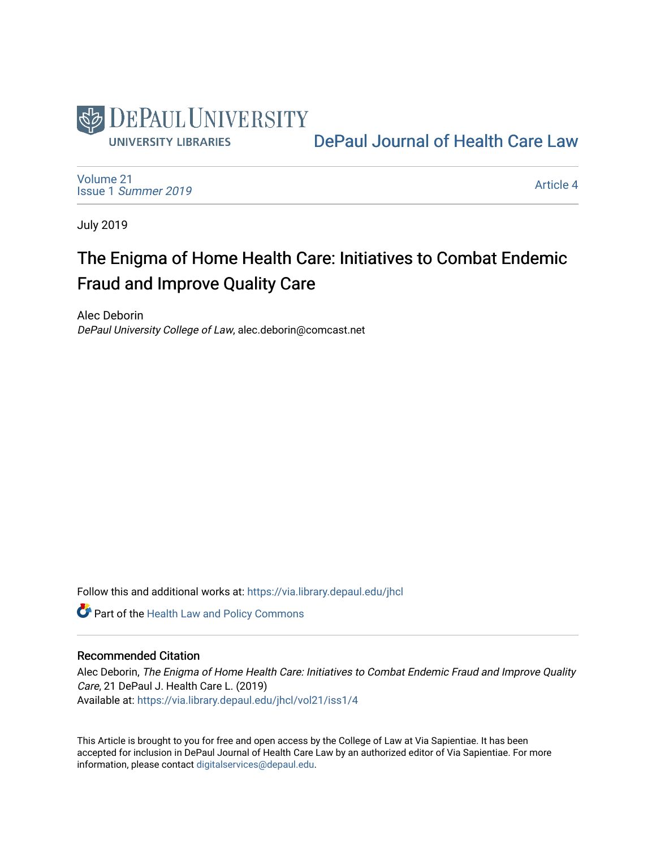

[DePaul Journal of Health Care Law](https://via.library.depaul.edu/jhcl) 

[Volume 21](https://via.library.depaul.edu/jhcl/vol21) Issue 1 [Summer 2019](https://via.library.depaul.edu/jhcl/vol21/iss1) 

[Article 4](https://via.library.depaul.edu/jhcl/vol21/iss1/4) 

July 2019

# The Enigma of Home Health Care: Initiatives to Combat Endemic Fraud and Improve Quality Care

Alec Deborin DePaul University College of Law, alec.deborin@comcast.net

Follow this and additional works at: [https://via.library.depaul.edu/jhcl](https://via.library.depaul.edu/jhcl?utm_source=via.library.depaul.edu%2Fjhcl%2Fvol21%2Fiss1%2F4&utm_medium=PDF&utm_campaign=PDFCoverPages) 

**Part of the Health Law and Policy Commons** 

## Recommended Citation

Alec Deborin, The Enigma of Home Health Care: Initiatives to Combat Endemic Fraud and Improve Quality Care, 21 DePaul J. Health Care L. (2019) Available at: [https://via.library.depaul.edu/jhcl/vol21/iss1/4](https://via.library.depaul.edu/jhcl/vol21/iss1/4?utm_source=via.library.depaul.edu%2Fjhcl%2Fvol21%2Fiss1%2F4&utm_medium=PDF&utm_campaign=PDFCoverPages)

This Article is brought to you for free and open access by the College of Law at Via Sapientiae. It has been accepted for inclusion in DePaul Journal of Health Care Law by an authorized editor of Via Sapientiae. For more information, please contact [digitalservices@depaul.edu](mailto:digitalservices@depaul.edu).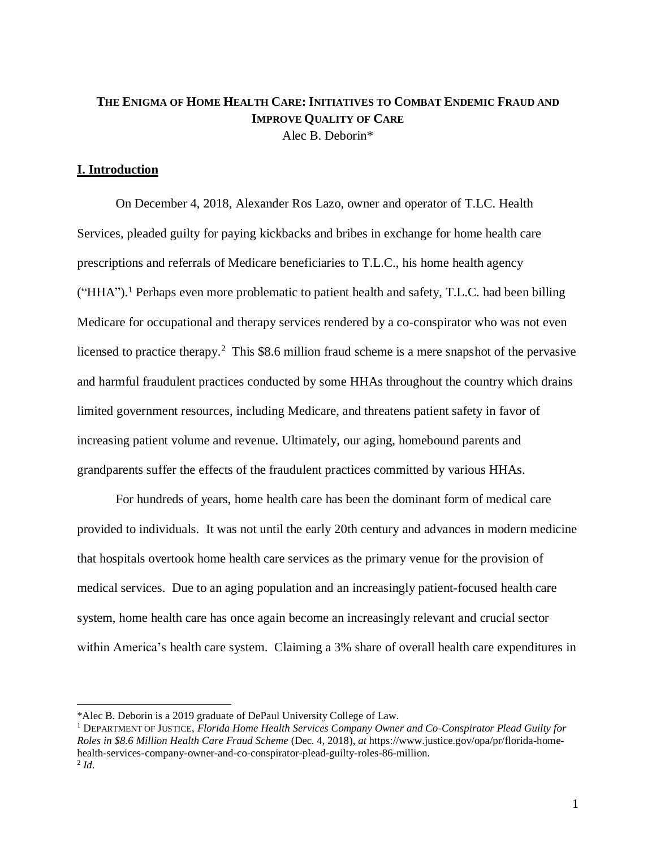## **THE ENIGMA OF HOME HEALTH CARE: INITIATIVES TO COMBAT ENDEMIC FRAUD AND IMPROVE QUALITY OF CARE** Alec B. Deborin\*

## **I. Introduction**

On December 4, 2018, Alexander Ros Lazo, owner and operator of T.LC. Health Services, pleaded guilty for paying kickbacks and bribes in exchange for home health care prescriptions and referrals of Medicare beneficiaries to T.L.C., his home health agency ("HHA").<sup>1</sup> Perhaps even more problematic to patient health and safety, T.L.C. had been billing Medicare for occupational and therapy services rendered by a co-conspirator who was not even licensed to practice therapy.<sup>2</sup> This \$8.6 million fraud scheme is a mere snapshot of the pervasive and harmful fraudulent practices conducted by some HHAs throughout the country which drains limited government resources, including Medicare, and threatens patient safety in favor of increasing patient volume and revenue. Ultimately, our aging, homebound parents and grandparents suffer the effects of the fraudulent practices committed by various HHAs.

For hundreds of years, home health care has been the dominant form of medical care provided to individuals. It was not until the early 20th century and advances in modern medicine that hospitals overtook home health care services as the primary venue for the provision of medical services. Due to an aging population and an increasingly patient-focused health care system, home health care has once again become an increasingly relevant and crucial sector within America's health care system. Claiming a 3% share of overall health care expenditures in

<sup>\*</sup>Alec B. Deborin is a 2019 graduate of DePaul University College of Law.

<sup>1</sup> DEPARTMENT OF JUSTICE, *Florida Home Health Services Company Owner and Co-Conspirator Plead Guilty for Roles in \$8.6 Million Health Care Fraud Scheme* (Dec. 4, 2018), *at* https://www.justice.gov/opa/pr/florida-homehealth-services-company-owner-and-co-conspirator-plead-guilty-roles-86-million. 2 *Id*.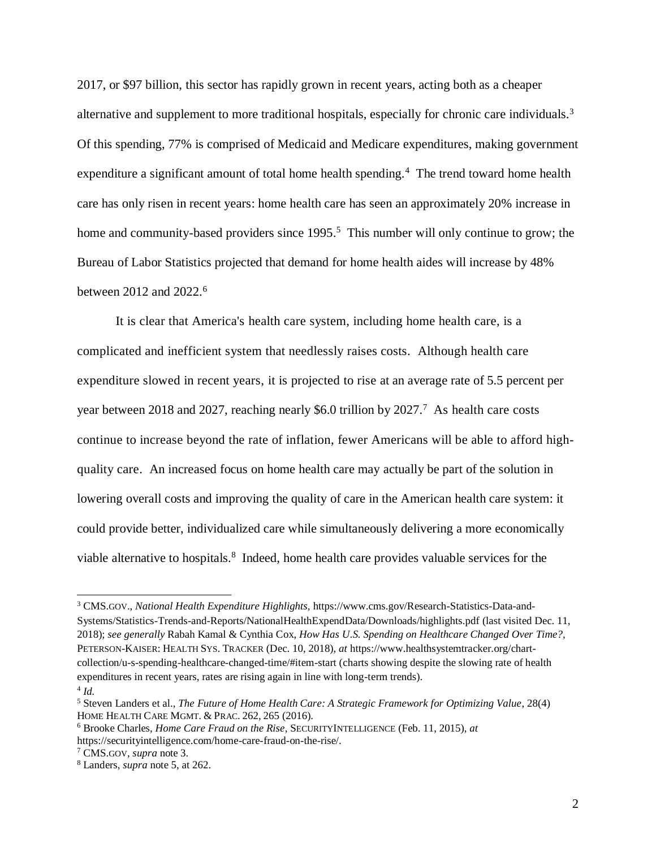2017, or \$97 billion, this sector has rapidly grown in recent years, acting both as a cheaper alternative and supplement to more traditional hospitals, especially for chronic care individuals.<sup>3</sup> Of this spending, 77% is comprised of Medicaid and Medicare expenditures, making government expenditure a significant amount of total home health spending.<sup>4</sup> The trend toward home health care has only risen in recent years: home health care has seen an approximately 20% increase in home and community-based providers since 1995.<sup>5</sup> This number will only continue to grow; the Bureau of Labor Statistics projected that demand for home health aides will increase by 48% between 2012 and 2022.<sup>6</sup>

It is clear that America's health care system, including home health care, is a complicated and inefficient system that needlessly raises costs. Although health care expenditure slowed in recent years, it is projected to rise at an average rate of 5.5 percent per year between 2018 and 2027, reaching nearly \$6.0 trillion by  $2027$ .<sup>7</sup> As health care costs continue to increase beyond the rate of inflation, fewer Americans will be able to afford highquality care. An increased focus on home health care may actually be part of the solution in lowering overall costs and improving the quality of care in the American health care system: it could provide better, individualized care while simultaneously delivering a more economically viable alternative to hospitals.<sup>8</sup> Indeed, home health care provides valuable services for the

<sup>3</sup> CMS.GOV., *National Health Expenditure Highlights,* https://www.cms.gov/Research-Statistics-Data-and-Systems/Statistics-Trends-and-Reports/NationalHealthExpendData/Downloads/highlights.pdf (last visited Dec. 11, 2018); *see generally* Rabah Kamal & Cynthia Cox, *How Has U.S. Spending on Healthcare Changed Over Time?,* PETERSON-KAISER: HEALTH SYS. TRACKER (Dec. 10, 2018), *at* https://www.healthsystemtracker.org/chartcollection/u-s-spending-healthcare-changed-time/#item-start (charts showing despite the slowing rate of health expenditures in recent years, rates are rising again in line with long-term trends).

<sup>4</sup> *Id.* 

<sup>5</sup> Steven Landers et al., *The Future of Home Health Care: A Strategic Framework for Optimizing Value*, 28(4) HOME HEALTH CARE MGMT. & PRAC. 262, 265 (2016).

<sup>6</sup> Brooke Charles, *Home Care Fraud on the Rise*, SECURITYINTELLIGENCE (Feb. 11, 2015), *at* https://securityintelligence.com/home-care-fraud-on-the-rise/.

<sup>7</sup> CMS.GOV, *supra* note 3.

<sup>8</sup> Landers, *supra* note 5, at 262.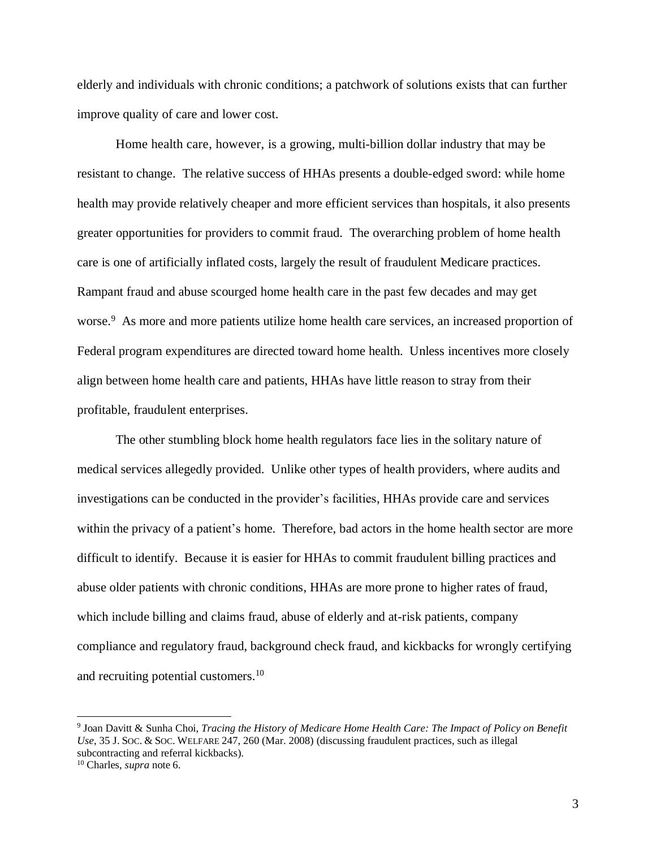elderly and individuals with chronic conditions; a patchwork of solutions exists that can further improve quality of care and lower cost.

Home health care, however, is a growing, multi-billion dollar industry that may be resistant to change. The relative success of HHAs presents a double-edged sword: while home health may provide relatively cheaper and more efficient services than hospitals, it also presents greater opportunities for providers to commit fraud. The overarching problem of home health care is one of artificially inflated costs, largely the result of fraudulent Medicare practices. Rampant fraud and abuse scourged home health care in the past few decades and may get worse.<sup>9</sup> As more and more patients utilize home health care services, an increased proportion of Federal program expenditures are directed toward home health. Unless incentives more closely align between home health care and patients, HHAs have little reason to stray from their profitable, fraudulent enterprises.

The other stumbling block home health regulators face lies in the solitary nature of medical services allegedly provided. Unlike other types of health providers, where audits and investigations can be conducted in the provider's facilities, HHAs provide care and services within the privacy of a patient's home. Therefore, bad actors in the home health sector are more difficult to identify. Because it is easier for HHAs to commit fraudulent billing practices and abuse older patients with chronic conditions, HHAs are more prone to higher rates of fraud, which include billing and claims fraud, abuse of elderly and at-risk patients, company compliance and regulatory fraud, background check fraud, and kickbacks for wrongly certifying and recruiting potential customers.<sup>10</sup>

<sup>9</sup> Joan Davitt & Sunha Choi, *Tracing the History of Medicare Home Health Care: The Impact of Policy on Benefit Use*, 35 J.SOC. & SOC. WELFARE 247, 260 (Mar. 2008) (discussing fraudulent practices, such as illegal subcontracting and referral kickbacks).

<sup>10</sup> Charles, *supra* note 6.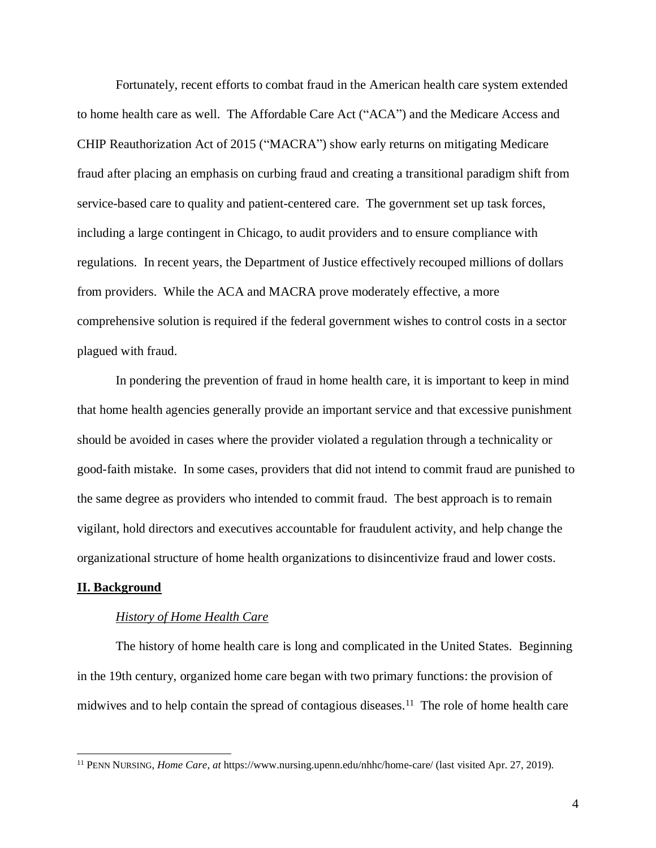Fortunately, recent efforts to combat fraud in the American health care system extended to home health care as well. The Affordable Care Act ("ACA") and the Medicare Access and CHIP Reauthorization Act of 2015 ("MACRA") show early returns on mitigating Medicare fraud after placing an emphasis on curbing fraud and creating a transitional paradigm shift from service-based care to quality and patient-centered care. The government set up task forces, including a large contingent in Chicago, to audit providers and to ensure compliance with regulations. In recent years, the Department of Justice effectively recouped millions of dollars from providers. While the ACA and MACRA prove moderately effective, a more comprehensive solution is required if the federal government wishes to control costs in a sector plagued with fraud.

In pondering the prevention of fraud in home health care, it is important to keep in mind that home health agencies generally provide an important service and that excessive punishment should be avoided in cases where the provider violated a regulation through a technicality or good-faith mistake. In some cases, providers that did not intend to commit fraud are punished to the same degree as providers who intended to commit fraud. The best approach is to remain vigilant, hold directors and executives accountable for fraudulent activity, and help change the organizational structure of home health organizations to disincentivize fraud and lower costs.

#### **II. Background**

#### *History of Home Health Care*

The history of home health care is long and complicated in the United States. Beginning in the 19th century, organized home care began with two primary functions: the provision of midwives and to help contain the spread of contagious diseases.<sup>11</sup> The role of home health care

<sup>11</sup> PENN NURSING, *Home Care*, *at* https://www.nursing.upenn.edu/nhhc/home-care/ (last visited Apr. 27, 2019).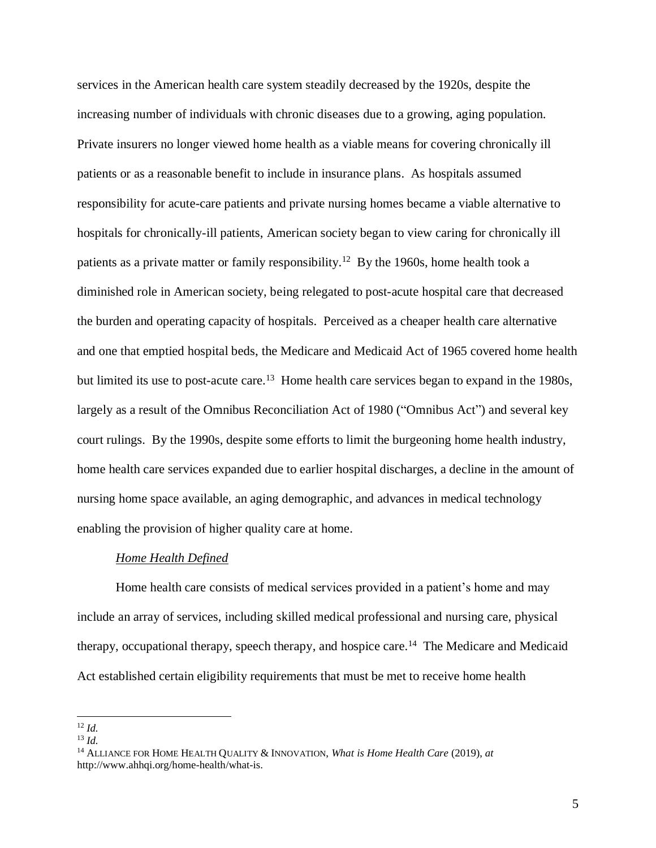services in the American health care system steadily decreased by the 1920s, despite the increasing number of individuals with chronic diseases due to a growing, aging population. Private insurers no longer viewed home health as a viable means for covering chronically ill patients or as a reasonable benefit to include in insurance plans. As hospitals assumed responsibility for acute-care patients and private nursing homes became a viable alternative to hospitals for chronically-ill patients, American society began to view caring for chronically ill patients as a private matter or family responsibility.<sup>12</sup> By the 1960s, home health took a diminished role in American society, being relegated to post-acute hospital care that decreased the burden and operating capacity of hospitals. Perceived as a cheaper health care alternative and one that emptied hospital beds, the Medicare and Medicaid Act of 1965 covered home health but limited its use to post-acute care.<sup>13</sup> Home health care services began to expand in the 1980s, largely as a result of the Omnibus Reconciliation Act of 1980 ("Omnibus Act") and several key court rulings. By the 1990s, despite some efforts to limit the burgeoning home health industry, home health care services expanded due to earlier hospital discharges, a decline in the amount of nursing home space available, an aging demographic, and advances in medical technology enabling the provision of higher quality care at home.

#### *Home Health Defined*

Home health care consists of medical services provided in a patient's home and may include an array of services, including skilled medical professional and nursing care, physical therapy, occupational therapy, speech therapy, and hospice care.<sup>14</sup> The Medicare and Medicaid Act established certain eligibility requirements that must be met to receive home health

  $12$  *Id.* 

<sup>13</sup> *Id.*

<sup>14</sup> ALLIANCE FOR HOME HEALTH QUALITY & INNOVATION, *What is Home Health Care* (2019), *at*  http://www.ahhqi.org/home-health/what-is.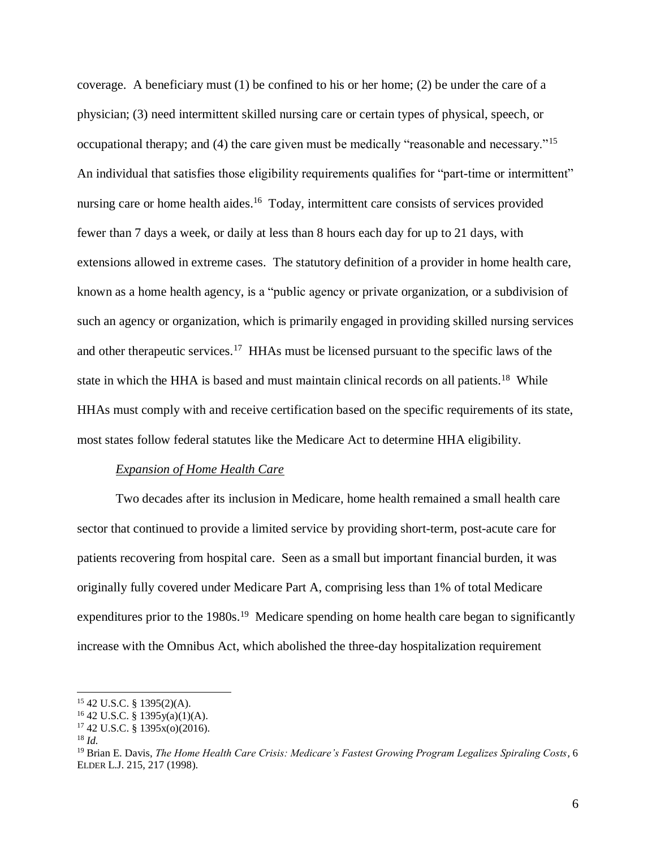coverage. A beneficiary must (1) be confined to his or her home; (2) be under the care of a physician; (3) need intermittent skilled nursing care or certain types of physical, speech, or occupational therapy; and (4) the care given must be medically "reasonable and necessary."<sup>15</sup> An individual that satisfies those eligibility requirements qualifies for "part-time or intermittent" nursing care or home health aides.<sup>16</sup> Today, intermittent care consists of services provided fewer than 7 days a week, or daily at less than 8 hours each day for up to 21 days, with extensions allowed in extreme cases. The statutory definition of a provider in home health care, known as a home health agency, is a "public agency or private organization, or a subdivision of such an agency or organization, which is primarily engaged in providing skilled nursing services and other therapeutic services.<sup>17</sup> HHAs must be licensed pursuant to the specific laws of the state in which the HHA is based and must maintain clinical records on all patients.<sup>18</sup> While HHAs must comply with and receive certification based on the specific requirements of its state, most states follow federal statutes like the Medicare Act to determine HHA eligibility.

## *Expansion of Home Health Care*

Two decades after its inclusion in Medicare, home health remained a small health care sector that continued to provide a limited service by providing short-term, post-acute care for patients recovering from hospital care. Seen as a small but important financial burden, it was originally fully covered under Medicare Part A, comprising less than 1% of total Medicare expenditures prior to the 1980s.<sup>19</sup> Medicare spending on home health care began to significantly increase with the Omnibus Act, which abolished the three-day hospitalization requirement

 $\overline{a}$ 

<sup>15</sup> 42 U.S.C. § 1395(2)(A).

 $16$  42 U.S.C. § 1395y(a)(1)(A).

 $17$  42 U.S.C. § 1395 $x(0)(2016)$ .

<sup>18</sup> *Id.*

<sup>19</sup> Brian E. Davis, *The Home Health Care Crisis: Medicare's Fastest Growing Program Legalizes Spiraling Costs,* 6 ELDER L.J. 215, 217 (1998).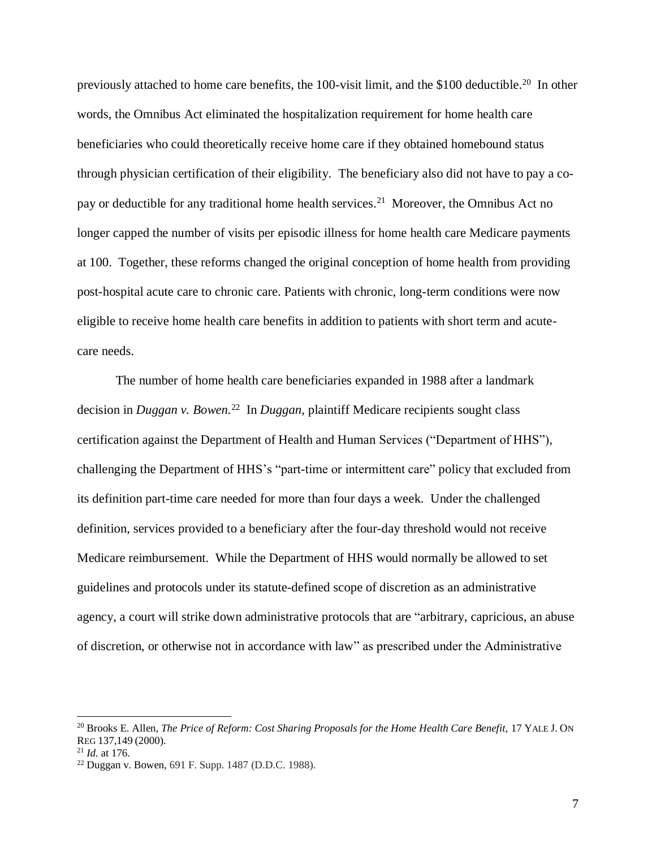previously attached to home care benefits, the 100-visit limit, and the \$100 deductible.<sup>20</sup> In other words, the Omnibus Act eliminated the hospitalization requirement for home health care beneficiaries who could theoretically receive home care if they obtained homebound status through physician certification of their eligibility. The beneficiary also did not have to pay a copay or deductible for any traditional home health services.<sup>21</sup> Moreover, the Omnibus Act no longer capped the number of visits per episodic illness for home health care Medicare payments at 100. Together, these reforms changed the original conception of home health from providing post-hospital acute care to chronic care. Patients with chronic, long-term conditions were now eligible to receive home health care benefits in addition to patients with short term and acutecare needs.

The number of home health care beneficiaries expanded in 1988 after a landmark decision in *Duggan v. Bowen.* <sup>22</sup> In *Duggan,* plaintiff Medicare recipients sought class certification against the Department of Health and Human Services ("Department of HHS"), challenging the Department of HHS's "part-time or intermittent care" policy that excluded from its definition part-time care needed for more than four days a week. Under the challenged definition, services provided to a beneficiary after the four-day threshold would not receive Medicare reimbursement. While the Department of HHS would normally be allowed to set guidelines and protocols under its statute-defined scope of discretion as an administrative agency, a court will strike down administrative protocols that are "arbitrary, capricious, an abuse of discretion, or otherwise not in accordance with law" as prescribed under the Administrative

<sup>20</sup> Brooks E. Allen, *The Price of Reform: Cost Sharing Proposals for the Home Health Care Benefit,* 17 YALE J. ON REG 137,149 (2000).

<sup>21</sup> *Id.* at 176.

<sup>22</sup> Duggan v. Bowen, 691 F. Supp. 1487 (D.D.C. 1988).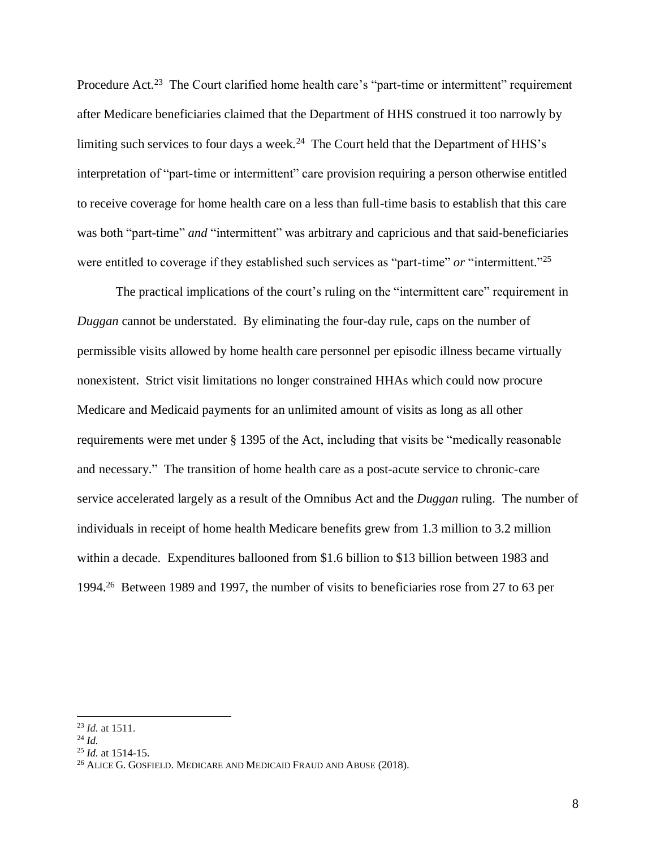Procedure Act.<sup>23</sup> The Court clarified home health care's "part-time or intermittent" requirement after Medicare beneficiaries claimed that the Department of HHS construed it too narrowly by limiting such services to four days a week.<sup>24</sup> The Court held that the Department of HHS's interpretation of "part-time or intermittent" care provision requiring a person otherwise entitled to receive coverage for home health care on a less than full-time basis to establish that this care was both "part-time" *and* "intermittent" was arbitrary and capricious and that said-beneficiaries were entitled to coverage if they established such services as "part-time" *or* "intermittent."<sup>25</sup>

The practical implications of the court's ruling on the "intermittent care" requirement in *Duggan* cannot be understated. By eliminating the four-day rule, caps on the number of permissible visits allowed by home health care personnel per episodic illness became virtually nonexistent. Strict visit limitations no longer constrained HHAs which could now procure Medicare and Medicaid payments for an unlimited amount of visits as long as all other requirements were met under § 1395 of the Act, including that visits be "medically reasonable and necessary." The transition of home health care as a post-acute service to chronic-care service accelerated largely as a result of the Omnibus Act and the *Duggan* ruling. The number of individuals in receipt of home health Medicare benefits grew from 1.3 million to 3.2 million within a decade. Expenditures ballooned from \$1.6 billion to \$13 billion between 1983 and 1994.<sup>26</sup> Between 1989 and 1997, the number of visits to beneficiaries rose from 27 to 63 per

 <sup>23</sup> *Id.* at 1511.

<sup>24</sup> *Id.*

<sup>25</sup> *Id.* at 1514-15.

 $^{26}$  ALICE G. GOSFIELD. MEDICARE AND MEDICAID FRAUD AND ABUSE (2018).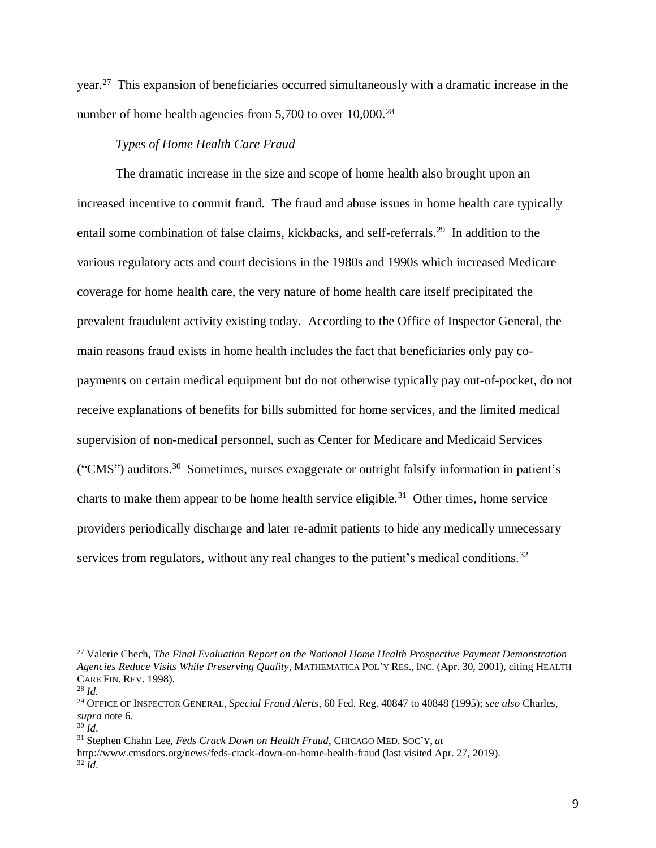year.<sup>27</sup> This expansion of beneficiaries occurred simultaneously with a dramatic increase in the number of home health agencies from 5,700 to over 10,000.<sup>28</sup>

## *Types of Home Health Care Fraud*

The dramatic increase in the size and scope of home health also brought upon an increased incentive to commit fraud. The fraud and abuse issues in home health care typically entail some combination of false claims, kickbacks, and self-referrals.<sup>29</sup> In addition to the various regulatory acts and court decisions in the 1980s and 1990s which increased Medicare coverage for home health care, the very nature of home health care itself precipitated the prevalent fraudulent activity existing today. According to the Office of Inspector General, the main reasons fraud exists in home health includes the fact that beneficiaries only pay copayments on certain medical equipment but do not otherwise typically pay out-of-pocket, do not receive explanations of benefits for bills submitted for home services, and the limited medical supervision of non-medical personnel, such as Center for Medicare and Medicaid Services ("CMS") auditors.<sup>30</sup> Sometimes, nurses exaggerate or outright falsify information in patient's charts to make them appear to be home health service eligible.<sup>31</sup> Other times, home service providers periodically discharge and later re-admit patients to hide any medically unnecessary services from regulators, without any real changes to the patient's medical conditions.<sup>32</sup>

<sup>31</sup> Stephen Chahn Lee, *Feds Crack Down on Health Fraud*, CHICAGO MED.SOC'Y, *at* http://www.cmsdocs.org/news/feds-crack-down-on-home-health-fraud (last visited Apr. 27, 2019). <sup>32</sup> *Id*.

<sup>27</sup> Valerie Chech, *The Final Evaluation Report on the National Home Health Prospective Payment Demonstration Agencies Reduce Visits While Preserving Quality*, MATHEMATICA POL'Y RES., INC. (Apr. 30, 2001), citing HEALTH CARE FIN. REV. 1998). <sup>28</sup> *Id.*

<sup>29</sup> OFFICE OF INSPECTOR GENERAL, *Special Fraud Alerts*, 60 Fed. Reg. 40847 to 40848 (1995); *see also* Charles, *supra* note 6.

<sup>30</sup> *Id*.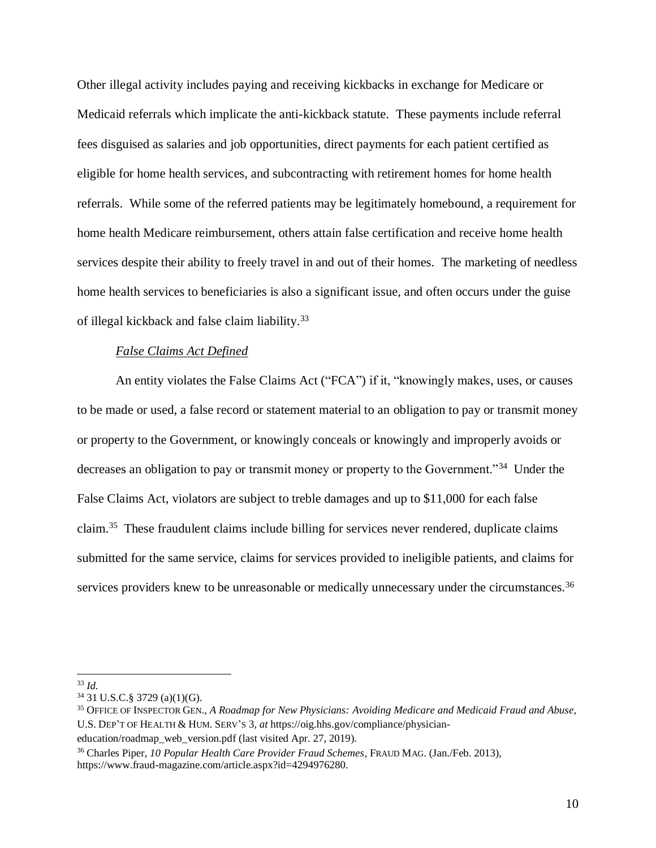Other illegal activity includes paying and receiving kickbacks in exchange for Medicare or Medicaid referrals which implicate the anti-kickback statute. These payments include referral fees disguised as salaries and job opportunities, direct payments for each patient certified as eligible for home health services, and subcontracting with retirement homes for home health referrals. While some of the referred patients may be legitimately homebound, a requirement for home health Medicare reimbursement, others attain false certification and receive home health services despite their ability to freely travel in and out of their homes. The marketing of needless home health services to beneficiaries is also a significant issue, and often occurs under the guise of illegal kickback and false claim liability.<sup>33</sup>

#### *False Claims Act Defined*

An entity violates the False Claims Act ("FCA") if it, "knowingly makes, uses, or causes to be made or used, a false record or statement material to an [obligation](https://www.law.cornell.edu/definitions/uscode.php?width=840&height=800&iframe=true&def_id=31-USC-389535362-290201126&term_occur=2&term_src=title:31:subtitle:III:chapter:37:subchapter:III:section:3729) to pay or transmit money or property to the Government, or knowingly conceals or knowingly and improperly avoids or decreases an [obligation](https://www.law.cornell.edu/definitions/uscode.php?width=840&height=800&iframe=true&def_id=31-USC-389535362-290201126&term_occur=3&term_src=title:31:subtitle:III:chapter:37:subchapter:III:section:3729) to pay or transmit money or property to the Government."<sup>34</sup> Under the False Claims Act, violators are subject to treble damages and up to \$11,000 for each false claim.<sup>35</sup> These fraudulent claims include billing for services never rendered, duplicate claims submitted for the same service, claims for services provided to ineligible patients, and claims for services providers knew to be unreasonable or medically unnecessary under the circumstances.<sup>36</sup>

  $33$  *Id.* 

<sup>34</sup> 31 U.S.C.§ 3729 (a)(1)(G).

<sup>35</sup> OFFICE OF INSPECTOR GEN., *A Roadmap for New Physicians: Avoiding Medicare and Medicaid Fraud and Abuse*, U.S. DEP'T OF HEALTH & HUM. SERV'S 3, *at* https://oig.hhs.gov/compliance/physician-

education/roadmap\_web\_version.pdf (last visited Apr. 27, 2019).

<sup>36</sup> Charles Piper, *10 Popular Health Care Provider Fraud Schemes*, FRAUD MAG. (Jan./Feb. 2013), https://www.fraud-magazine.com/article.aspx?id=4294976280.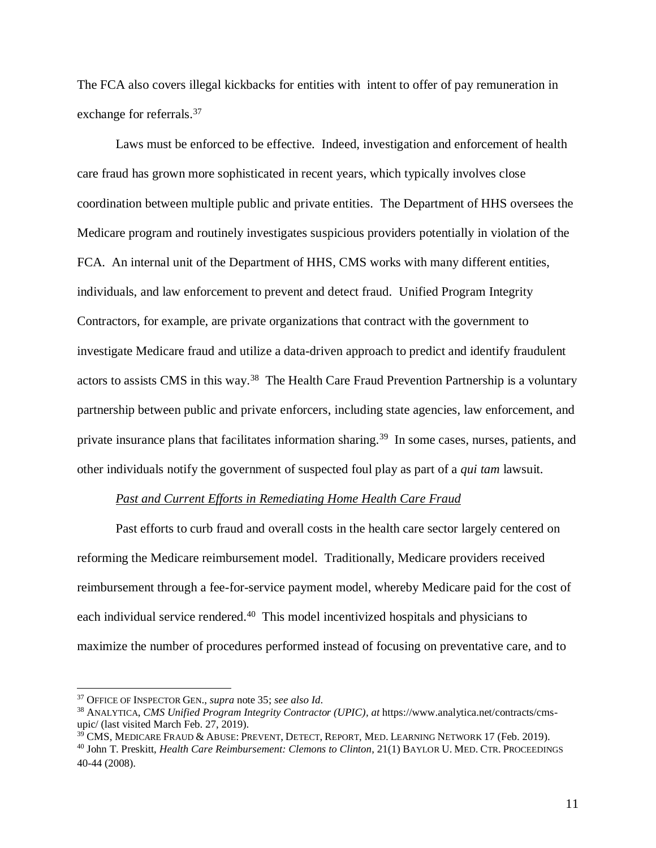The FCA also covers illegal kickbacks for entities with intent to offer of pay remuneration in exchange for referrals.<sup>37</sup>

Laws must be enforced to be effective. Indeed, investigation and enforcement of health care fraud has grown more sophisticated in recent years, which typically involves close coordination between multiple public and private entities. The Department of HHS oversees the Medicare program and routinely investigates suspicious providers potentially in violation of the FCA. An internal unit of the Department of HHS, CMS works with many different entities, individuals, and law enforcement to prevent and detect fraud. Unified Program Integrity Contractors, for example, are private organizations that contract with the government to investigate Medicare fraud and utilize a data-driven approach to predict and identify fraudulent actors to assists CMS in this way.<sup>38</sup> The Health Care Fraud Prevention Partnership is a voluntary partnership between public and private enforcers, including state agencies, law enforcement, and private insurance plans that facilitates information sharing.<sup>39</sup> In some cases, nurses, patients, and other individuals notify the government of suspected foul play as part of a *qui tam* lawsuit.

#### *Past and Current Efforts in Remediating Home Health Care Fraud*

Past efforts to curb fraud and overall costs in the health care sector largely centered on reforming the Medicare reimbursement model. Traditionally, Medicare providers received reimbursement through a fee-for-service payment model, whereby Medicare paid for the cost of each individual service rendered.<sup>40</sup> This model incentivized hospitals and physicians to maximize the number of procedures performed instead of focusing on preventative care, and to

<sup>37</sup> OFFICE OF INSPECTOR GEN., *supra* note 35; *see also Id*.

<sup>38</sup> ANALYTICA, *CMS Unified Program Integrity Contractor (UPIC), at* https://www.analytica.net/contracts/cmsupic/ (last visited March Feb. 27, 2019).

 $39$  CMS, MEDICARE FRAUD & ABUSE: PREVENT, DETECT, REPORT, MED. LEARNING NETWORK 17 (Feb. 2019). <sup>40</sup> John T. Preskitt, *Health Care Reimbursement: Clemons to Clinton*, 21(1) BAYLOR U. MED. CTR.PROCEEDINGS 40-44 (2008).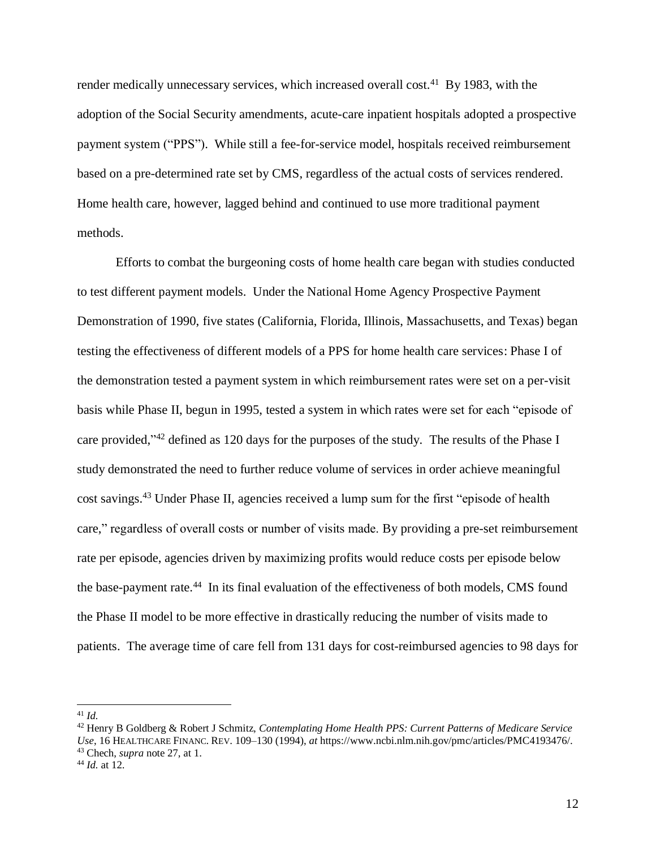render medically unnecessary services, which increased overall cost.<sup>41</sup> By 1983, with the adoption of the Social Security amendments, acute-care inpatient hospitals adopted a prospective payment system ("PPS"). While still a fee-for-service model, hospitals received reimbursement based on a pre-determined rate set by CMS, regardless of the actual costs of services rendered. Home health care, however, lagged behind and continued to use more traditional payment methods.

Efforts to combat the burgeoning costs of home health care began with studies conducted to test different payment models. Under the National Home Agency Prospective Payment Demonstration of 1990, five states (California, Florida, Illinois, Massachusetts, and Texas) began testing the effectiveness of different models of a PPS for home health care services: Phase I of the demonstration tested a payment system in which reimbursement rates were set on a per-visit basis while Phase II, begun in 1995, tested a system in which rates were set for each "episode of care provided,"<sup>42</sup> defined as 120 days for the purposes of the study. The results of the Phase I study demonstrated the need to further reduce volume of services in order achieve meaningful cost savings.<sup>43</sup> Under Phase II, agencies received a lump sum for the first "episode of health care," regardless of overall costs or number of visits made. By providing a pre-set reimbursement rate per episode, agencies driven by maximizing profits would reduce costs per episode below the base-payment rate.<sup>44</sup> In its final evaluation of the effectiveness of both models, CMS found the Phase II model to be more effective in drastically reducing the number of visits made to patients. The average time of care fell from 131 days for cost-reimbursed agencies to 98 days for

<sup>41</sup> *Id.*

<sup>42</sup> Henry B Goldberg & Robert J Schmitz, *Contemplating Home Health PPS: Current Patterns of Medicare Service Use*, 16 HEALTHCARE FINANC. REV. 109–130 (1994), *at* https://www.ncbi.nlm.nih.gov/pmc/articles/PMC4193476/. <sup>43</sup> Chech, *supra* note 27, at 1.

<sup>44</sup> *Id.* at 12.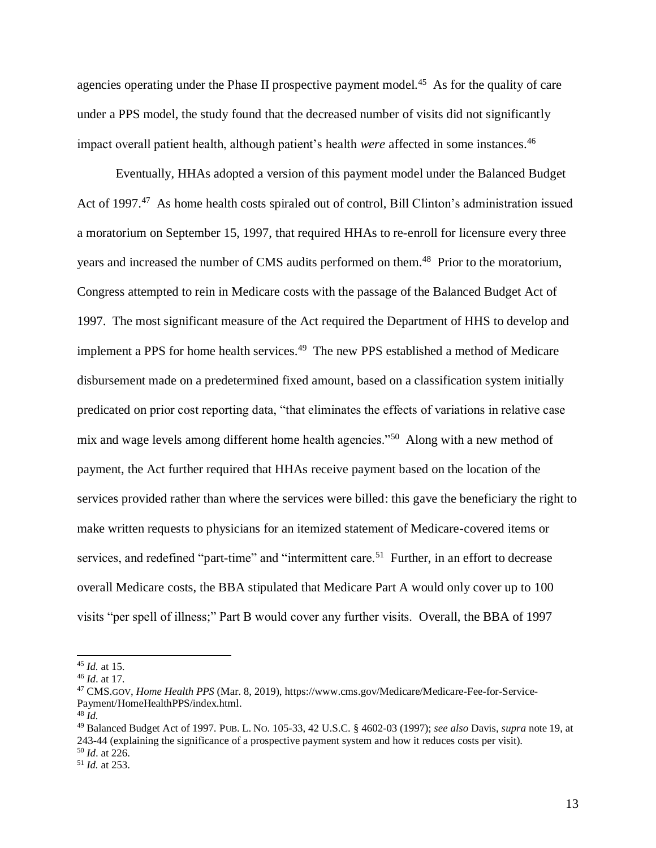agencies operating under the Phase II prospective payment model.<sup>45</sup> As for the quality of care under a PPS model, the study found that the decreased number of visits did not significantly impact overall patient health, although patient's health *were* affected in some instances.<sup>46</sup>

Eventually, HHAs adopted a version of this payment model under the Balanced Budget Act of 1997.<sup>47</sup> As home health costs spiraled out of control, Bill Clinton's administration issued a moratorium on September 15, 1997, that required HHAs to re-enroll for licensure every three years and increased the number of CMS audits performed on them. <sup>48</sup> Prior to the moratorium, Congress attempted to rein in Medicare costs with the passage of the Balanced Budget Act of 1997. The most significant measure of the Act required the Department of HHS to develop and implement a PPS for home health services.<sup>49</sup> The new PPS established a method of Medicare disbursement made on a predetermined fixed amount, based on a classification system initially predicated on prior cost reporting data, "that eliminates the effects of variations in relative case mix and wage levels among different home health agencies."<sup>50</sup> Along with a new method of payment, the Act further required that HHAs receive payment based on the location of the services provided rather than where the services were billed: this gave the beneficiary the right to make written requests to physicians for an itemized statement of Medicare-covered items or services, and redefined "part-time" and "intermittent care.<sup>51</sup> Further, in an effort to decrease overall Medicare costs, the BBA stipulated that Medicare Part A would only cover up to 100 visits "per spell of illness;" Part B would cover any further visits. Overall, the BBA of 1997

 $\overline{a}$ 

<sup>50</sup> *Id*. at 226.

<sup>45</sup> *Id.* at 15.

<sup>46</sup> *Id*. at 17.

<sup>47</sup> CMS.GOV, *Home Health PPS* (Mar. 8, 2019), https://www.cms.gov/Medicare/Medicare-Fee-for-Service-Payment/HomeHealthPPS/index.html.

<sup>48</sup> *Id.*

<sup>49</sup> Balanced Budget Act of 1997. PUB. L. NO. 105-33, 42 U.S.C. § 4602-03 (1997); *see also* Davis, *supra* note 19, at 243-44 (explaining the significance of a prospective payment system and how it reduces costs per visit).

<sup>51</sup> *Id.* at 253.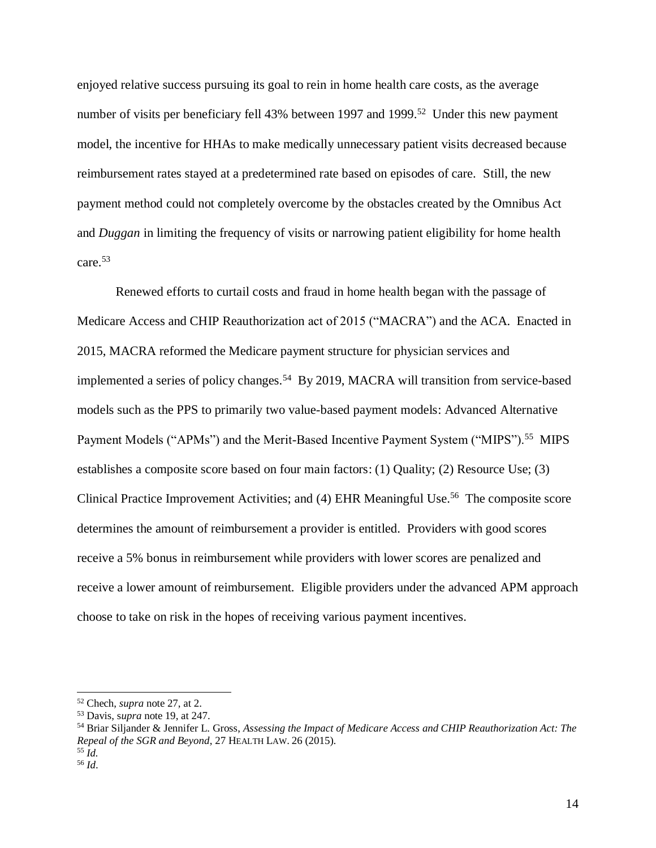enjoyed relative success pursuing its goal to rein in home health care costs, as the average number of visits per beneficiary fell 43% between 1997 and 1999.<sup>52</sup> Under this new payment model, the incentive for HHAs to make medically unnecessary patient visits decreased because reimbursement rates stayed at a predetermined rate based on episodes of care. Still, the new payment method could not completely overcome by the obstacles created by the Omnibus Act and *Duggan* in limiting the frequency of visits or narrowing patient eligibility for home health care.<sup>53</sup>

Renewed efforts to curtail costs and fraud in home health began with the passage of Medicare Access and CHIP Reauthorization act of 2015 ("MACRA") and the ACA. Enacted in 2015, MACRA reformed the Medicare payment structure for physician services and implemented a series of policy changes.<sup>54</sup> By 2019, MACRA will transition from service-based models such as the PPS to primarily two value-based payment models: Advanced Alternative Payment Models ("APMs") and the Merit-Based Incentive Payment System ("MIPS").<sup>55</sup> MIPS establishes a composite score based on four main factors: (1) Quality; (2) Resource Use; (3) Clinical Practice Improvement Activities; and (4) EHR Meaningful Use.<sup>56</sup> The composite score determines the amount of reimbursement a provider is entitled. Providers with good scores receive a 5% bonus in reimbursement while providers with lower scores are penalized and receive a lower amount of reimbursement. Eligible providers under the advanced APM approach choose to take on risk in the hopes of receiving various payment incentives.

 $\overline{a}$ 

<sup>52</sup> Chech, *supra* note 27, at 2.

<sup>53</sup> Davis, s*upra* note 19, at 247.

<sup>54</sup> Briar Siljander & Jennifer L. Gross, *Assessing the Impact of Medicare Access and CHIP Reauthorization Act: The Repeal of the SGR and Beyond*, 27 HEALTH LAW. 26 (2015).

<sup>55</sup> *Id.* <sup>56</sup> *Id*.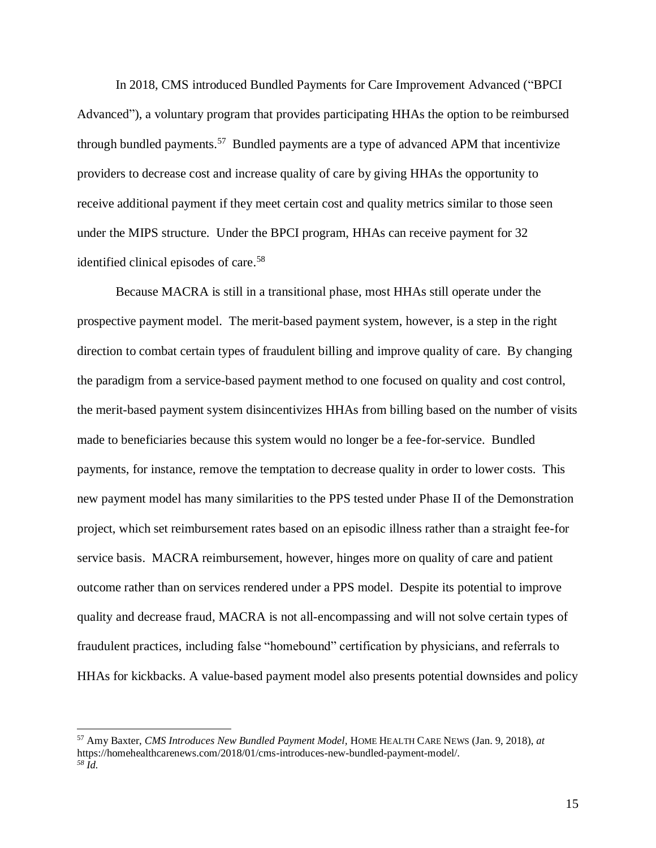In 2018, CMS introduced Bundled Payments for Care Improvement Advanced ("BPCI Advanced"), a voluntary program that provides participating HHAs the option to be reimbursed through bundled payments.<sup>57</sup> Bundled payments are a type of advanced APM that incentivize providers to decrease cost and increase quality of care by giving HHAs the opportunity to receive additional payment if they meet certain cost and quality metrics similar to those seen under the MIPS structure. Under the BPCI program, HHAs can receive payment for 32 identified clinical episodes of care. 58

Because MACRA is still in a transitional phase, most HHAs still operate under the prospective payment model. The merit-based payment system, however, is a step in the right direction to combat certain types of fraudulent billing and improve quality of care. By changing the paradigm from a service-based payment method to one focused on quality and cost control, the merit-based payment system disincentivizes HHAs from billing based on the number of visits made to beneficiaries because this system would no longer be a fee-for-service. Bundled payments, for instance, remove the temptation to decrease quality in order to lower costs. This new payment model has many similarities to the PPS tested under Phase II of the Demonstration project, which set reimbursement rates based on an episodic illness rather than a straight fee-for service basis. MACRA reimbursement, however, hinges more on quality of care and patient outcome rather than on services rendered under a PPS model. Despite its potential to improve quality and decrease fraud, MACRA is not all-encompassing and will not solve certain types of fraudulent practices, including false "homebound" certification by physicians, and referrals to HHAs for kickbacks. A value-based payment model also presents potential downsides and policy

 $\overline{a}$ 

<sup>57</sup> Amy Baxter, *CMS Introduces New Bundled Payment Model,* HOME HEALTH CARE NEWS (Jan. 9, 2018), *at* https://homehealthcarenews.com/2018/01/cms-introduces-new-bundled-payment-model/. *<sup>58</sup> Id.*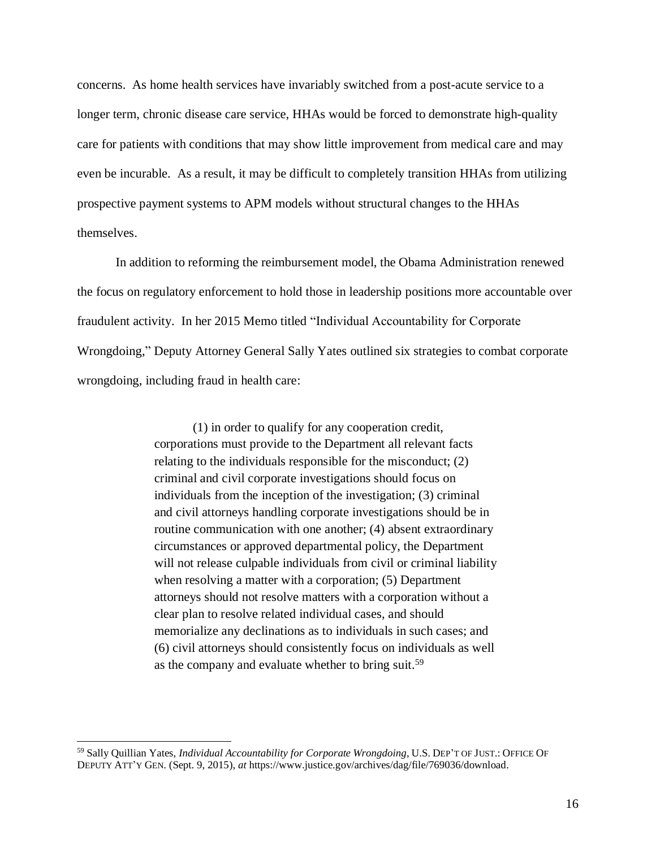concerns. As home health services have invariably switched from a post-acute service to a longer term, chronic disease care service, HHAs would be forced to demonstrate high-quality care for patients with conditions that may show little improvement from medical care and may even be incurable. As a result, it may be difficult to completely transition HHAs from utilizing prospective payment systems to APM models without structural changes to the HHAs themselves.

In addition to reforming the reimbursement model, the Obama Administration renewed the focus on regulatory enforcement to hold those in leadership positions more accountable over fraudulent activity. In her 2015 Memo titled "Individual Accountability for Corporate Wrongdoing," Deputy Attorney General Sally Yates outlined six strategies to combat corporate wrongdoing, including fraud in health care:

> (1) in order to qualify for any cooperation credit, corporations must provide to the Department all relevant facts relating to the individuals responsible for the misconduct; (2) criminal and civil corporate investigations should focus on individuals from the inception of the investigation; (3) criminal and civil attorneys handling corporate investigations should be in routine communication with one another; (4) absent extraordinary circumstances or approved departmental policy, the Department will not release culpable individuals from civil or criminal liability when resolving a matter with a corporation; (5) Department attorneys should not resolve matters with a corporation without a clear plan to resolve related individual cases, and should memorialize any declinations as to individuals in such cases; and (6) civil attorneys should consistently focus on individuals as well as the company and evaluate whether to bring suit.<sup>59</sup>

<sup>59</sup> Sally Quillian Yates, *Individual Accountability for Corporate Wrongdoing*, U.S. DEP'T OF JUST.: OFFICE OF DEPUTY ATT'Y GEN. (Sept. 9, 2015), *at* https://www.justice.gov/archives/dag/file/769036/download.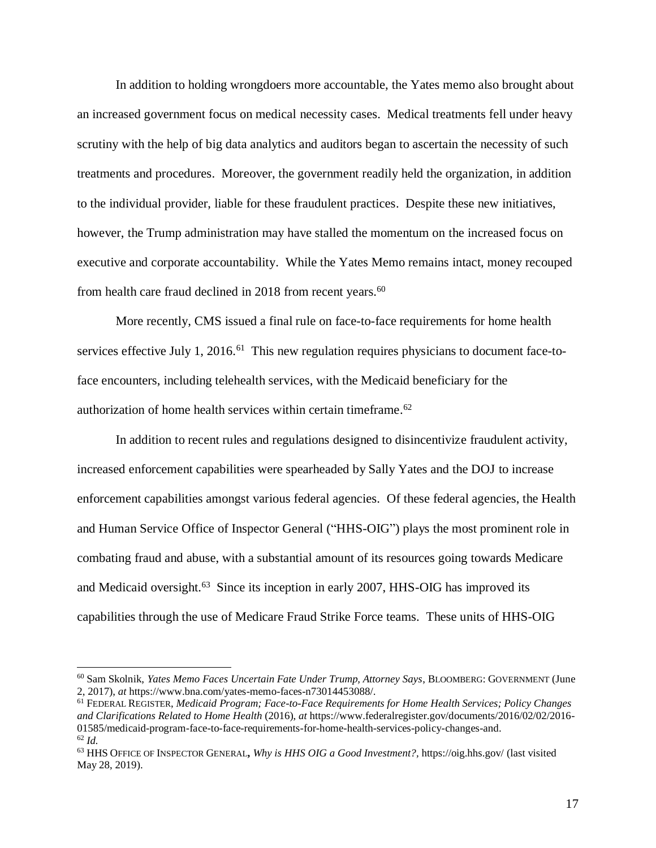In addition to holding wrongdoers more accountable, the Yates memo also brought about an increased government focus on medical necessity cases. Medical treatments fell under heavy scrutiny with the help of big data analytics and auditors began to ascertain the necessity of such treatments and procedures. Moreover, the government readily held the organization, in addition to the individual provider, liable for these fraudulent practices. Despite these new initiatives, however, the Trump administration may have stalled the momentum on the increased focus on executive and corporate accountability. While the Yates Memo remains intact, money recouped from health care fraud declined in 2018 from recent years.<sup>60</sup>

More recently, CMS issued a final rule on face-to-face requirements for home health services effective July 1, 2016.<sup>61</sup> This new regulation requires physicians to document face-toface encounters, including telehealth services, with the Medicaid beneficiary for the authorization of home health services within certain timeframe. 62

In addition to recent rules and regulations designed to disincentivize fraudulent activity, increased enforcement capabilities were spearheaded by Sally Yates and the DOJ to increase enforcement capabilities amongst various federal agencies. Of these federal agencies, the Health and Human Service Office of Inspector General ("HHS-OIG") plays the most prominent role in combating fraud and abuse, with a substantial amount of its resources going towards Medicare and Medicaid oversight.<sup>63</sup> Since its inception in early 2007, HHS-OIG has improved its capabilities through the use of Medicare Fraud Strike Force teams. These units of HHS-OIG

<sup>60</sup> Sam Skolnik, *Yates Memo Faces Uncertain Fate Under Trump, Attorney Says*, BLOOMBERG: GOVERNMENT (June 2, 2017), *at* https://www.bna.com/yates-memo-faces-n73014453088/.

<sup>61</sup> FEDERAL REGISTER, *Medicaid Program; Face-to-Face Requirements for Home Health Services; Policy Changes and Clarifications Related to Home Health* (2016), *at* https://www.federalregister.gov/documents/2016/02/02/2016- 01585/medicaid-program-face-to-face-requirements-for-home-health-services-policy-changes-and. <sup>62</sup> *Id.*

<sup>63</sup> HHS OFFICE OF INSPECTOR GENERAL**,** *Why is HHS OIG a Good Investment?,* https://oig.hhs.gov/ (last visited May 28, 2019).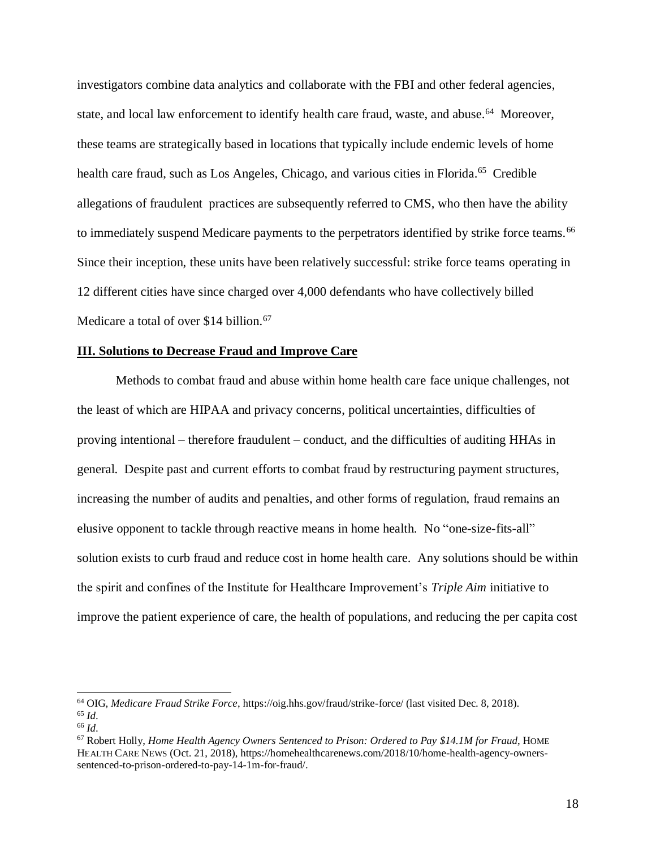investigators combine data analytics and collaborate with the FBI and other federal agencies, state, and local law enforcement to identify health care fraud, waste, and abuse.<sup>64</sup> Moreover, these teams are strategically based in locations that typically include endemic levels of home health care fraud, such as Los Angeles, Chicago, and various cities in Florida.<sup>65</sup> Credible allegations of fraudulent practices are subsequently referred to CMS, who then have the ability to immediately suspend Medicare payments to the perpetrators identified by strike force teams.<sup>66</sup> Since their inception, these units have been relatively successful: strike force teams operating in 12 different cities have since charged over 4,000 defendants who have collectively billed Medicare a total of over \$14 billion.<sup>67</sup>

#### **III. Solutions to Decrease Fraud and Improve Care**

Methods to combat fraud and abuse within home health care face unique challenges, not the least of which are HIPAA and privacy concerns, political uncertainties, difficulties of proving intentional – therefore fraudulent – conduct, and the difficulties of auditing HHAs in general. Despite past and current efforts to combat fraud by restructuring payment structures, increasing the number of audits and penalties, and other forms of regulation, fraud remains an elusive opponent to tackle through reactive means in home health. No "one-size-fits-all" solution exists to curb fraud and reduce cost in home health care. Any solutions should be within the spirit and confines of the Institute for Healthcare Improvement's *Triple Aim* initiative to improve the patient experience of care, the health of populations, and reducing the per capita cost

 $\overline{a}$ 

<sup>64</sup> OIG, *Medicare Fraud Strike Force*, https://oig.hhs.gov/fraud/strike-force/ (last visited Dec. 8, 2018). <sup>65</sup> *Id*.

<sup>66</sup> *Id*.

<sup>67</sup> Robert Holly, *Home Health Agency Owners Sentenced to Prison: Ordered to Pay \$14.1M for Fraud*, HOME HEALTH CARE NEWS (Oct. 21, 2018), https://homehealthcarenews.com/2018/10/home-health-agency-ownerssentenced-to-prison-ordered-to-pay-14-1m-for-fraud/.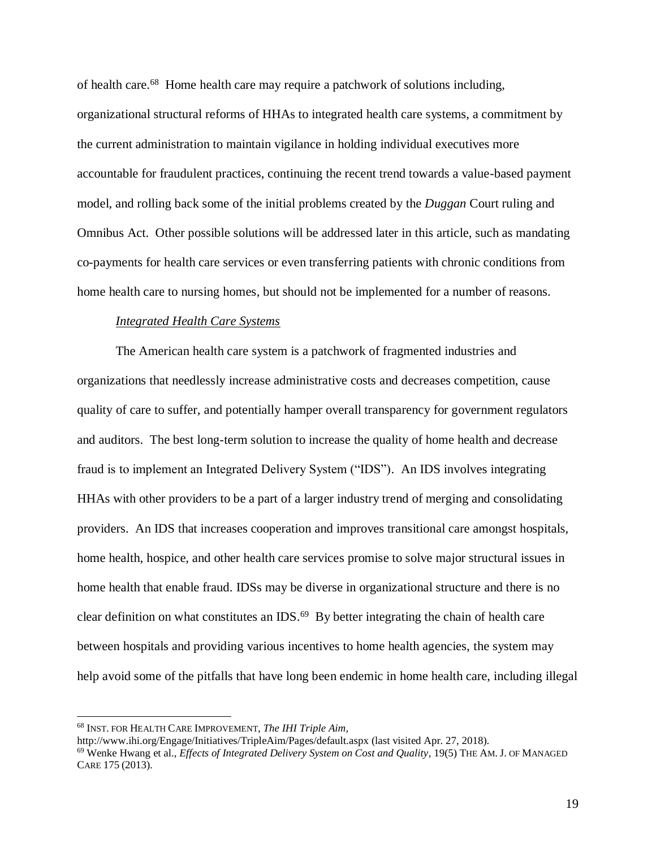of health care.<sup>68</sup> Home health care may require a patchwork of solutions including, organizational structural reforms of HHAs to integrated health care systems, a commitment by the current administration to maintain vigilance in holding individual executives more accountable for fraudulent practices, continuing the recent trend towards a value-based payment model, and rolling back some of the initial problems created by the *Duggan* Court ruling and Omnibus Act. Other possible solutions will be addressed later in this article, such as mandating co-payments for health care services or even transferring patients with chronic conditions from home health care to nursing homes, but should not be implemented for a number of reasons.

#### *Integrated Health Care Systems*

The American health care system is a patchwork of fragmented industries and organizations that needlessly increase administrative costs and decreases competition, cause quality of care to suffer, and potentially hamper overall transparency for government regulators and auditors. The best long-term solution to increase the quality of home health and decrease fraud is to implement an Integrated Delivery System ("IDS"). An IDS involves integrating HHAs with other providers to be a part of a larger industry trend of merging and consolidating providers. An IDS that increases cooperation and improves transitional care amongst hospitals, home health, hospice, and other health care services promise to solve major structural issues in home health that enable fraud. IDSs may be diverse in organizational structure and there is no clear definition on what constitutes an IDS. $^{69}$  By better integrating the chain of health care between hospitals and providing various incentives to home health agencies, the system may help avoid some of the pitfalls that have long been endemic in home health care, including illegal

<sup>68</sup> INST. FOR HEALTH CARE IMPROVEMENT, *The IHI Triple Aim*,

http://www.ihi.org/Engage/Initiatives/TripleAim/Pages/default.aspx (last visited Apr. 27, 2018).

<sup>69</sup> Wenke Hwang et al., *Effects of Integrated Delivery System on Cost and Quality,* 19(5) THE AM. J. OF MANAGED CARE 175 (2013).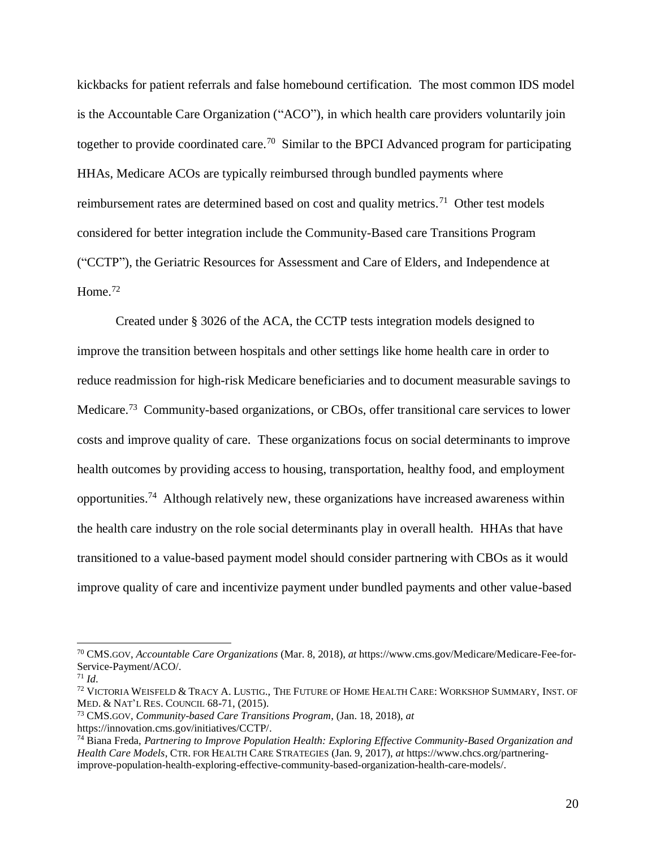kickbacks for patient referrals and false homebound certification. The most common IDS model is the Accountable Care Organization ("ACO"), in which health care providers voluntarily join together to provide coordinated care.<sup>70</sup> Similar to the BPCI Advanced program for participating HHAs, Medicare ACOs are typically reimbursed through bundled payments where reimbursement rates are determined based on cost and quality metrics.<sup>71</sup> Other test models considered for better integration include the Community-Based care Transitions Program ("CCTP"), the Geriatric Resources for Assessment and Care of Elders, and Independence at Home.<sup>72</sup>

Created under § 3026 of the ACA, the CCTP tests integration models designed to improve the transition between hospitals and other settings like home health care in order to reduce readmission for high-risk Medicare beneficiaries and to document measurable savings to Medicare.<sup>73</sup> Community-based organizations, or CBOs, offer transitional care services to lower costs and improve quality of care. These organizations focus on social determinants to improve health outcomes by providing access to housing, transportation, healthy food, and employment opportunities.<sup>74</sup> Although relatively new, these organizations have increased awareness within the health care industry on the role social determinants play in overall health. HHAs that have transitioned to a value-based payment model should consider partnering with CBOs as it would improve quality of care and incentivize payment under bundled payments and other value-based

<sup>70</sup> CMS.GOV, *Accountable Care Organizations* (Mar. 8, 2018), *at* https://www.cms.gov/Medicare/Medicare-Fee-for-Service-Payment/ACO/.

<sup>71</sup> *Id*.

<sup>72</sup> VICTORIA WEISFELD & TRACY A. LUSTIG., THE FUTURE OF HOME HEALTH CARE: WORKSHOP SUMMARY, INST. OF MED. & NAT'L RES. COUNCIL 68-71, (2015).

<sup>73</sup> CMS.GOV, *Community-based Care Transitions Program*, (Jan. 18, 2018), *at*  https://innovation.cms.gov/initiatives/CCTP/.

<sup>74</sup> Biana Freda, *Partnering to Improve Population Health: Exploring Effective Community-Based Organization and Health Care Models*, CTR. FOR HEALTH CARE STRATEGIES (Jan. 9, 2017), *at* https://www.chcs.org/partneringimprove-population-health-exploring-effective-community-based-organization-health-care-models/.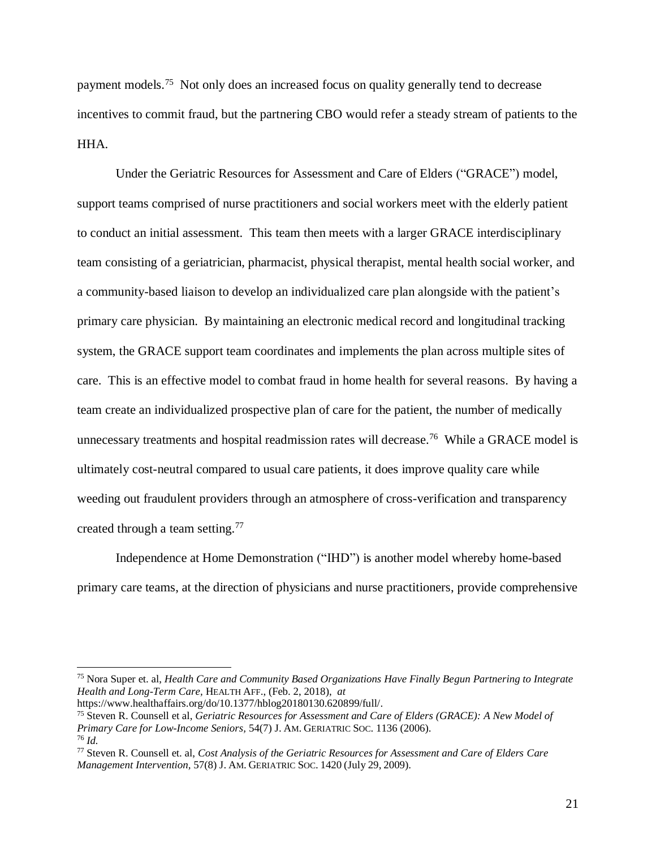payment models.<sup>75</sup> Not only does an increased focus on quality generally tend to decrease incentives to commit fraud, but the partnering CBO would refer a steady stream of patients to the HHA.

Under the Geriatric Resources for Assessment and Care of Elders ("GRACE") model, support teams comprised of nurse practitioners and social workers meet with the elderly patient to conduct an initial assessment. This team then meets with a larger GRACE interdisciplinary team consisting of a geriatrician, pharmacist, physical therapist, mental health social worker, and a community-based liaison to develop an individualized care plan alongside with the patient's primary care physician. By maintaining an electronic medical record and longitudinal tracking system, the GRACE support team coordinates and implements the plan across multiple sites of care. This is an effective model to combat fraud in home health for several reasons. By having a team create an individualized prospective plan of care for the patient, the number of medically unnecessary treatments and hospital readmission rates will decrease.<sup>76</sup> While a GRACE model is ultimately cost-neutral compared to usual care patients, it does improve quality care while weeding out fraudulent providers through an atmosphere of cross-verification and transparency created through a team setting.<sup>77</sup>

Independence at Home Demonstration ("IHD") is another model whereby home-based primary care teams, at the direction of physicians and nurse practitioners, provide comprehensive

<sup>75</sup> Nora Super et. al, *Health Care and Community Based Organizations Have Finally Begun Partnering to Integrate Health and Long-Term Care,* HEALTH AFF., (Feb. 2, 2018), *at*

https://www.healthaffairs.org/do/10.1377/hblog20180130.620899/full/.

<sup>75</sup> Steven R. Counsell et al, *Geriatric Resources for Assessment and Care of Elders (GRACE): A New Model of Primary Care for Low-Income Seniors,* 54(7) J. AM. GERIATRIC SOC. 1136 (2006). <sup>76</sup> *Id.* 

<sup>77</sup> Steven R. Counsell et. al, *Cost Analysis of the Geriatric Resources for Assessment and Care of Elders Care Management Intervention,* 57(8) J. AM. GERIATRIC SOC. 1420 (July 29, 2009).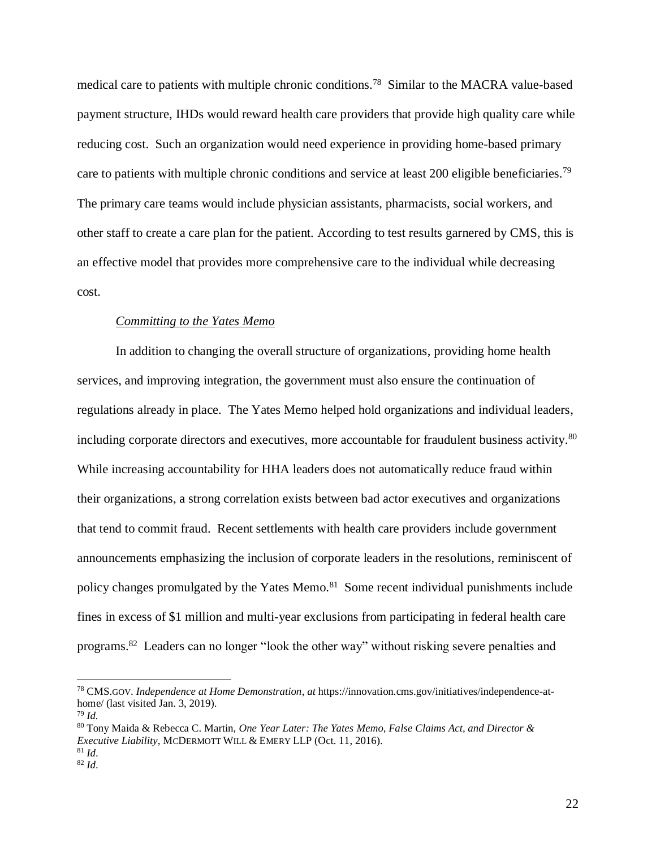medical care to patients with multiple chronic conditions.<sup>78</sup> Similar to the MACRA value-based payment structure, IHDs would reward health care providers that provide high quality care while reducing cost. Such an organization would need experience in providing home-based primary care to patients with multiple chronic conditions and service at least 200 eligible beneficiaries.<sup>79</sup> The primary care teams would include physician assistants, pharmacists, social workers, and other staff to create a care plan for the patient. According to test results garnered by CMS, this is an effective model that provides more comprehensive care to the individual while decreasing cost.

#### *Committing to the Yates Memo*

In addition to changing the overall structure of organizations, providing home health services, and improving integration, the government must also ensure the continuation of regulations already in place. The Yates Memo helped hold organizations and individual leaders, including corporate directors and executives, more accountable for fraudulent business activity. 80 While increasing accountability for HHA leaders does not automatically reduce fraud within their organizations, a strong correlation exists between bad actor executives and organizations that tend to commit fraud. Recent settlements with health care providers include government announcements emphasizing the inclusion of corporate leaders in the resolutions, reminiscent of policy changes promulgated by the Yates Memo.<sup>81</sup> Some recent individual punishments include fines in excess of \$1 million and multi-year exclusions from participating in federal health care programs.<sup>82</sup> Leaders can no longer "look the other way" without risking severe penalties and

<sup>78</sup> CMS.GOV. *Independence at Home Demonstration*, *at* https://innovation.cms.gov/initiatives/independence-athome/ (last visited Jan. 3, 2019).

<sup>79</sup> *Id.*

<sup>80</sup> Tony Maida & Rebecca C. Martin, *One Year Later: The Yates Memo, False Claims Act, and Director & Executive Liability*, MCDERMOTT WILL & EMERY LLP (Oct. 11, 2016).

<sup>81</sup> *Id*. <sup>82</sup> *Id*.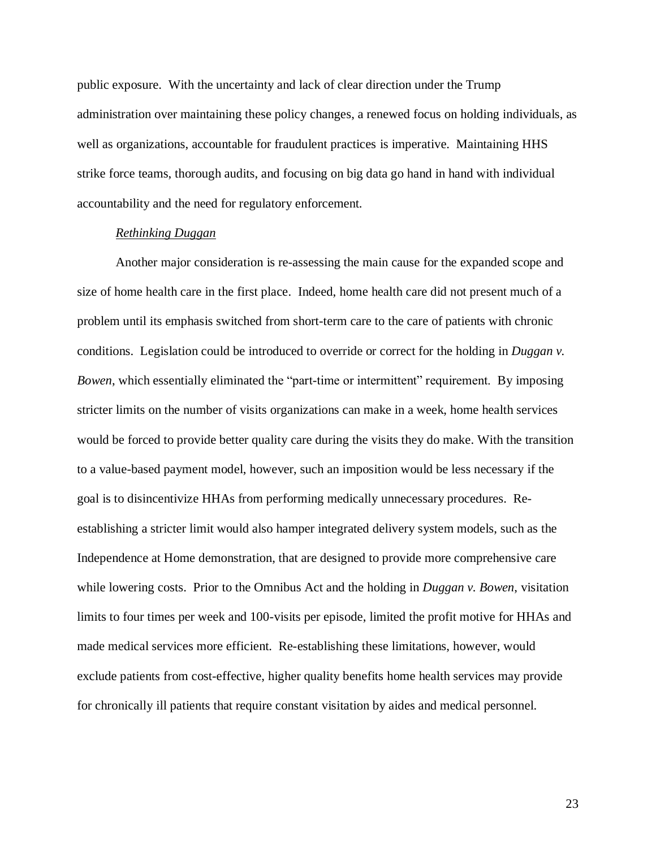public exposure. With the uncertainty and lack of clear direction under the Trump administration over maintaining these policy changes, a renewed focus on holding individuals, as well as organizations, accountable for fraudulent practices is imperative. Maintaining HHS strike force teams, thorough audits, and focusing on big data go hand in hand with individual accountability and the need for regulatory enforcement.

## *Rethinking Duggan*

Another major consideration is re-assessing the main cause for the expanded scope and size of home health care in the first place. Indeed, home health care did not present much of a problem until its emphasis switched from short-term care to the care of patients with chronic conditions. Legislation could be introduced to override or correct for the holding in *Duggan v. Bowen*, which essentially eliminated the "part-time or intermittent" requirement. By imposing stricter limits on the number of visits organizations can make in a week, home health services would be forced to provide better quality care during the visits they do make. With the transition to a value-based payment model, however, such an imposition would be less necessary if the goal is to disincentivize HHAs from performing medically unnecessary procedures. Reestablishing a stricter limit would also hamper integrated delivery system models, such as the Independence at Home demonstration, that are designed to provide more comprehensive care while lowering costs. Prior to the Omnibus Act and the holding in *Duggan v. Bowen*, visitation limits to four times per week and 100-visits per episode, limited the profit motive for HHAs and made medical services more efficient. Re-establishing these limitations, however, would exclude patients from cost-effective, higher quality benefits home health services may provide for chronically ill patients that require constant visitation by aides and medical personnel.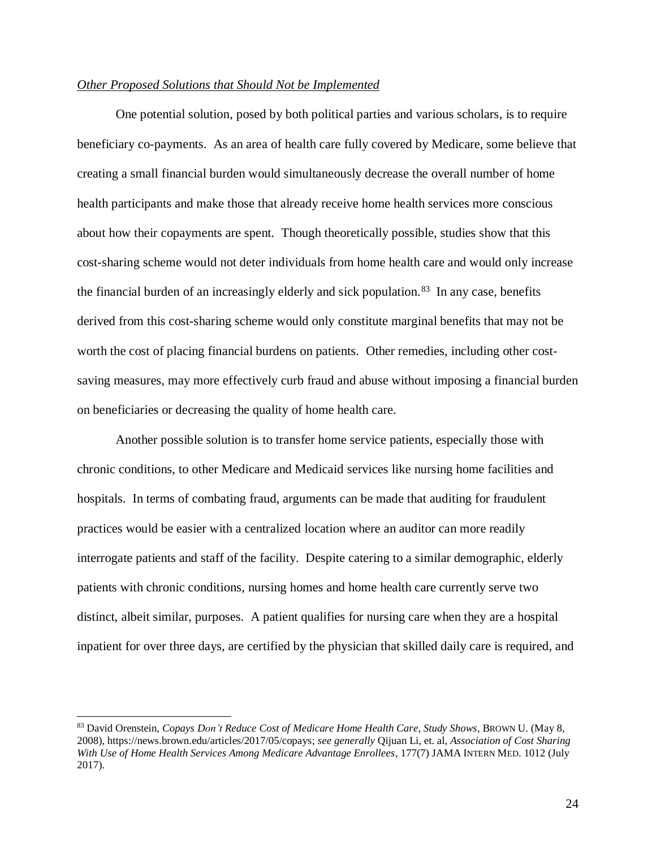## *Other Proposed Solutions that Should Not be Implemented*

One potential solution, posed by both political parties and various scholars, is to require beneficiary co-payments. As an area of health care fully covered by Medicare, some believe that creating a small financial burden would simultaneously decrease the overall number of home health participants and make those that already receive home health services more conscious about how their copayments are spent. Though theoretically possible, studies show that this cost-sharing scheme would not deter individuals from home health care and would only increase the financial burden of an increasingly elderly and sick population.<sup>83</sup> In any case, benefits derived from this cost-sharing scheme would only constitute marginal benefits that may not be worth the cost of placing financial burdens on patients. Other remedies, including other costsaving measures, may more effectively curb fraud and abuse without imposing a financial burden on beneficiaries or decreasing the quality of home health care.

Another possible solution is to transfer home service patients, especially those with chronic conditions, to other Medicare and Medicaid services like nursing home facilities and hospitals. In terms of combating fraud, arguments can be made that auditing for fraudulent practices would be easier with a centralized location where an auditor can more readily interrogate patients and staff of the facility. Despite catering to a similar demographic, elderly patients with chronic conditions, nursing homes and home health care currently serve two distinct, albeit similar, purposes. A patient qualifies for nursing care when they are a hospital inpatient for over three days, are certified by the physician that skilled daily care is required, and

<sup>83</sup> David Orenstein, *Copays Don't Reduce Cost of Medicare Home Health Care, Study Shows*, BROWN U. (May 8, 2008), https://news.brown.edu/articles/2017/05/copays; *see generally* Qijuan Li, et. al, *Association of Cost Sharing With Use of Home Health Services Among Medicare Advantage Enrollees,* 177(7) JAMA INTERN MED. 1012 (July 2017).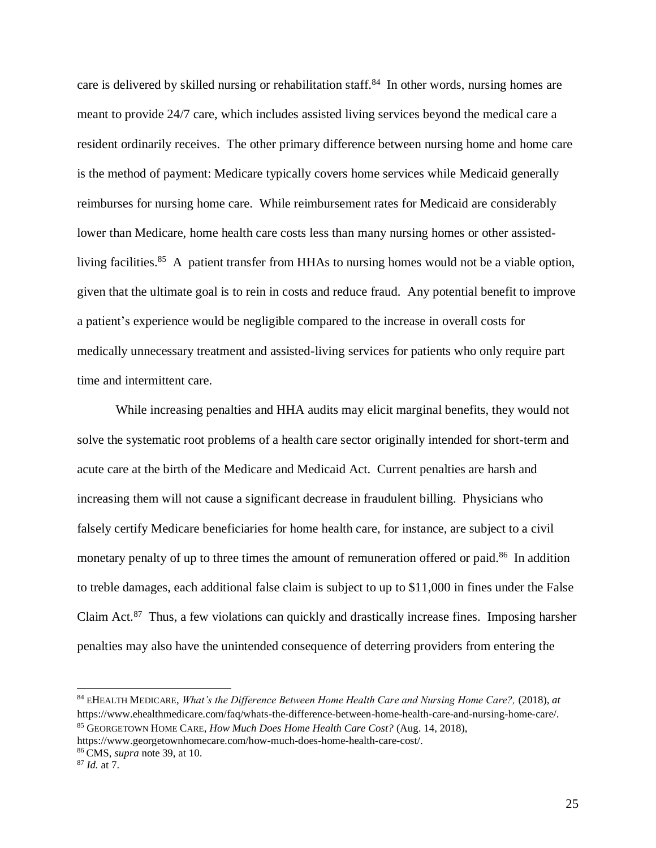care is delivered by skilled nursing or rehabilitation staff.<sup>84</sup> In other words, nursing homes are meant to provide 24/7 care, which includes assisted living services beyond the medical care a resident ordinarily receives. The other primary difference between nursing home and home care is the method of payment: Medicare typically covers home services while Medicaid generally reimburses for nursing home care. While reimbursement rates for Medicaid are considerably lower than Medicare, home health care costs less than many nursing homes or other assistedliving facilities.<sup>85</sup> A patient transfer from HHAs to nursing homes would not be a viable option, given that the ultimate goal is to rein in costs and reduce fraud. Any potential benefit to improve a patient's experience would be negligible compared to the increase in overall costs for medically unnecessary treatment and assisted-living services for patients who only require part time and intermittent care.

While increasing penalties and HHA audits may elicit marginal benefits, they would not solve the systematic root problems of a health care sector originally intended for short-term and acute care at the birth of the Medicare and Medicaid Act. Current penalties are harsh and increasing them will not cause a significant decrease in fraudulent billing. Physicians who falsely certify Medicare beneficiaries for home health care, for instance, are subject to a civil monetary penalty of up to three times the amount of remuneration offered or paid.<sup>86</sup> In addition to treble damages, each additional false claim is subject to up to \$11,000 in fines under the False Claim Act.<sup>87</sup> Thus, a few violations can quickly and drastically increase fines. Imposing harsher penalties may also have the unintended consequence of deterring providers from entering the

<sup>84</sup> EHEALTH MEDICARE, *What's the Difference Between Home Health Care and Nursing Home Care?,* (2018), *at* https://www.ehealthmedicare.com/faq/whats-the-difference-between-home-health-care-and-nursing-home-care/. <sup>85</sup> GEORGETOWN HOME CARE, *How Much Does Home Health Care Cost?* (Aug. 14, 2018),

https://www.georgetownhomecare.com/how-much-does-home-health-care-cost/.

<sup>86</sup> CMS, *supra* note 39, at 10.

<sup>87</sup> *Id.* at 7.